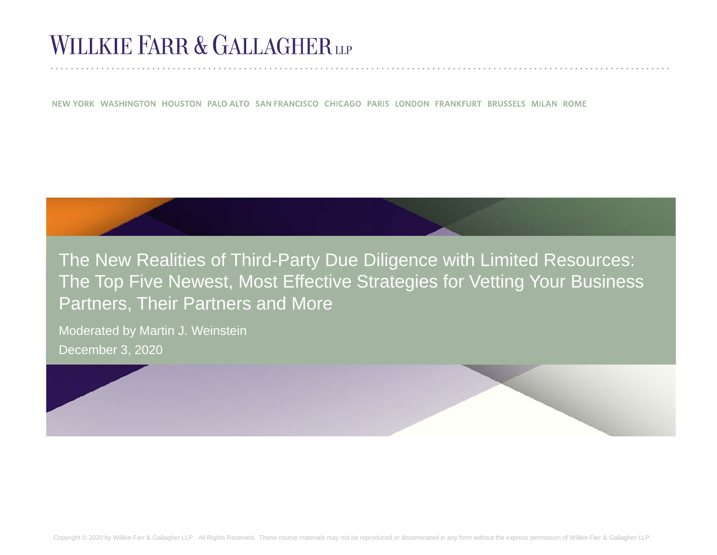## **WILLKIE FARR & GALLAGHERUP**

NEW YORK WASHINGTON HOUSTON PALO ALTO SAN FRANCISCO CHICAGO PARIS LONDON FRANKFURT BRUSSELS MILAN ROME

The New Realities of Third-Party Due Diligence with Limited Resources: The Top Five Newest, Most Effective Strategies for Vetting Your Business Partners, Their Partners and More

Moderated by Martin J. Weinstein December 3, 2020

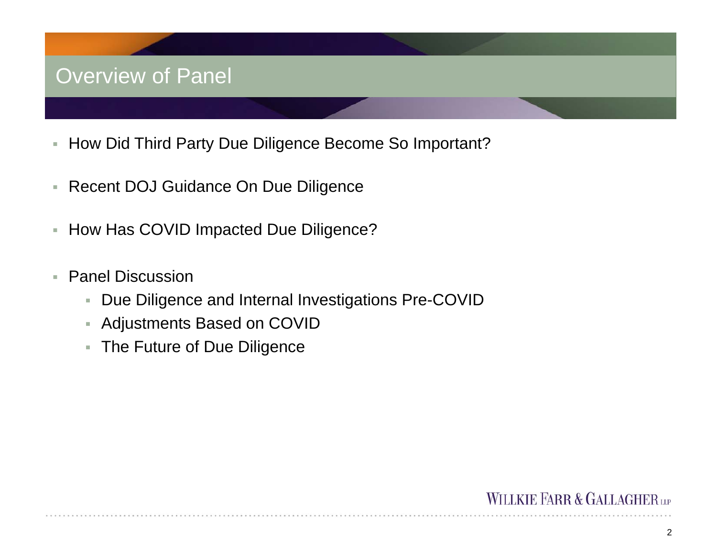### Overview of Panel

- r. How Did Third Party Due Diligence Become So Important?
- Recent DOJ Guidance On Due Diligence
- r. How Has COVID Impacted Due Diligence?
- ÷. Panel Discussion
	- a. Due Diligence and Internal Investigations Pre-COVID
	- Adjustments Based on COVID
	- The Future of Due Diligence

#### **WILLKIE FARR & GALLAGHERLP**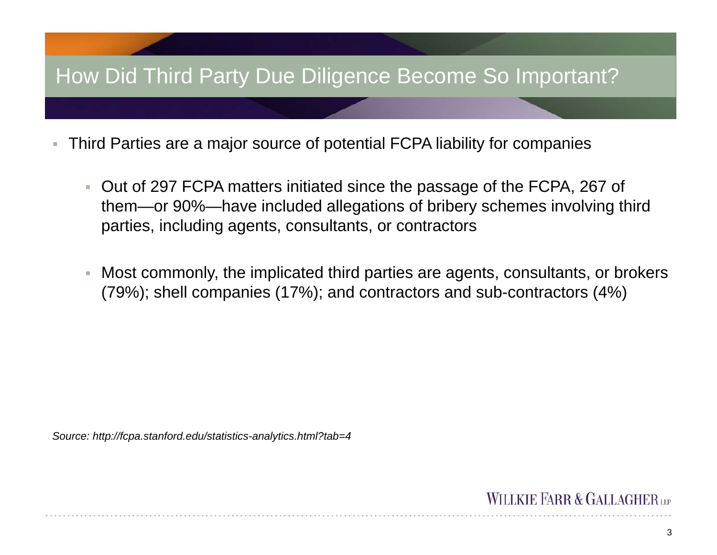### How Did Third Party Due Diligence Become So Important?

- r. Third Parties are a major source of potential FCPA liability for companies
	- Out of 297 FCPA matters initiated since the passage of the FCPA, 267 of them—or 90%—have included allegations of bribery schemes involving third parties, including agents, consultants, or contractors
	- Most commonly, the implicated third parties are agents, consultants, or brokers (79%); shell companies (17%); and contractors and sub-contractors (4%)

*Source: http://fcpa.stanford.edu/statistics-analytics.html?tab=4*

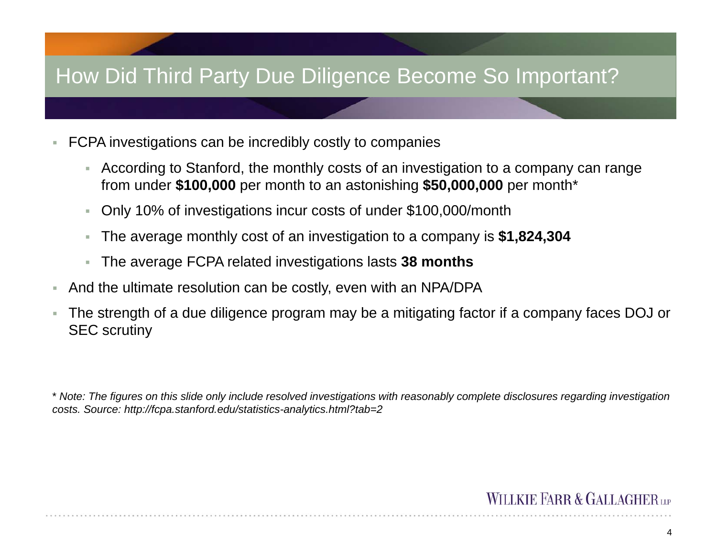#### How Did Third Party Due Diligence Become So Important?

- u, FCPA investigations can be incredibly costly to companies
	- According to Stanford, the monthly costs of an investigation to a company can range from under **\$100,000** per month to an astonishing **\$50,000,000** per month\*
	- ▦ Only 10% of investigations incur costs of under \$100,000/month
	- a. The average monthly cost of an investigation to a company is **\$1,824,304**
	- The average FCPA related investigations lasts **38 months**
- a. And the ultimate resolution can be costly, even with an NPA/DPA
- Ì. The strength of a due diligence program may be a mitigating factor if a company faces DOJ or SEC scrutiny

\* *Note: The figures on this slide only include resolved investigations with reasonably complete disclosures regarding investigation costs. Source: http://fcpa.stanford.edu/statistics-analytics.html?tab=2*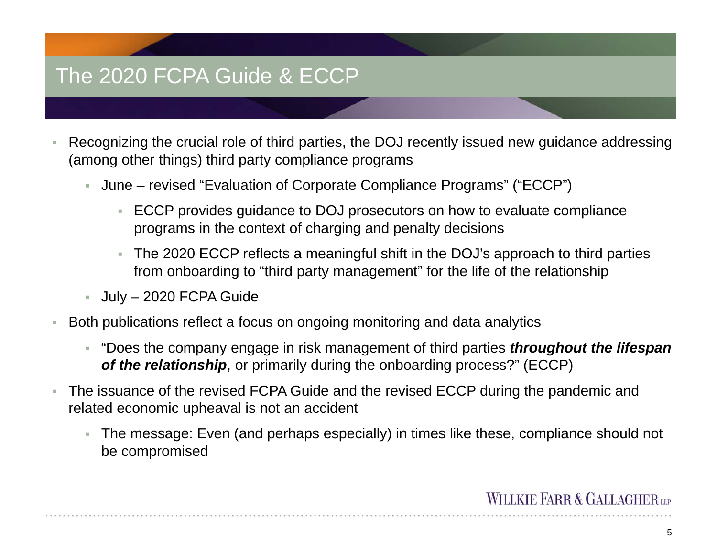### The 2020 FCPA Guide & ECCP

- L. Recognizing the crucial role of third parties, the DOJ recently issued new guidance addressing (among other things) third party compliance programs
	- June revised "Evaluation of Corporate Compliance Programs" ("ECCP")
		- ECCP provides guidance to DOJ prosecutors on how to evaluate compliance programs in the context of charging and penalty decisions
		- ×. The 2020 ECCP reflects a meaningful shift in the DOJ's approach to third parties from onboarding to "third party management" for the life of the relationship
	- July 2020 FCPA Guide
- i. Both publications reflect a focus on ongoing monitoring and data analytics
	- "Does the company engage in risk management of third parties *throughout the lifespan of the relationship*, or primarily during the onboarding process?" (ECCP)
- à. The issuance of the revised FCPA Guide and the revised ECCP during the pandemic and related economic upheaval is not an accident
	- The message: Even (and perhaps especially) in times like these, compliance should not be compromised

#### **WILLKIE FARR & GALLAGHER**

5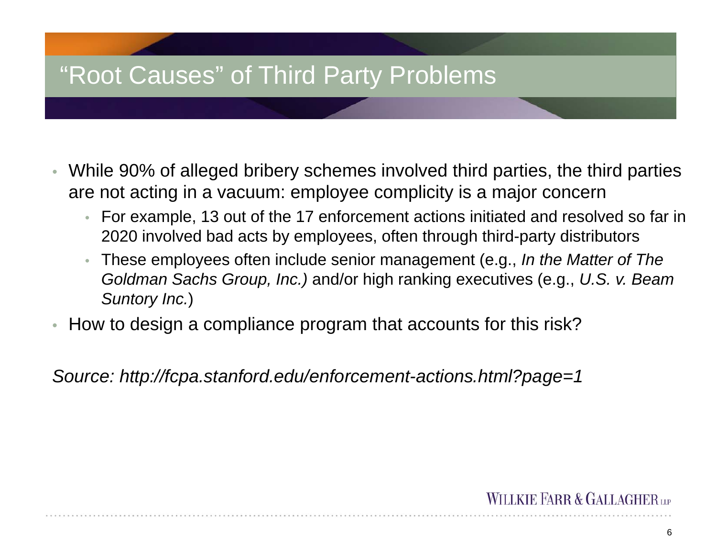# "Root Causes" of Third Party Problems

- While 90% of alleged bribery schemes involved third parties, the third parties are not acting in a vacuum: employee complicity is a major concern
	- For example, 13 out of the 17 enforcement actions initiated and resolved so far in 2020 involved bad acts by employees, often through third-party distributors
	- These employees often include senior management (e.g., *In the Matter of The Goldman Sachs Group, Inc.)* and/or high ranking executives (e.g., *U.S. v. Beam Suntory Inc.*)
- $\bullet$ How to design a compliance program that accounts for this risk?

*Source: http://fcpa.stanford.edu/enforcement-actions.html?page=1*